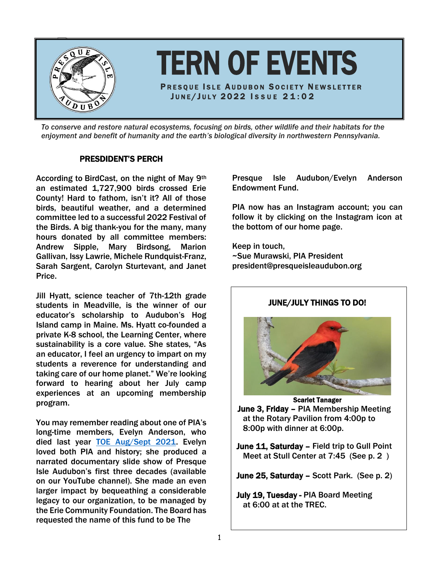

*To conserve and restore natural ecosystems, focusing on birds, other wildlife and their habitats for the enjoyment and benefit of humanity and the earth's biological diversity in northwestern Pennsylvania.*

# PRESDIDENT'S PERCH

According to BirdCast, on the night of May 9th an estimated 1,727,900 birds crossed Erie County! Hard to fathom, isn't it? All of those birds, beautiful weather, and a determined committee led to a successful 2022 Festival of the Birds. A big thank-you for the many, many hours donated by all committee members: Andrew Sipple, Mary Birdsong, Marion Gallivan, Issy Lawrie, Michele Rundquist-Franz, **composite and the Contain** Sarah Sargent, Carolyn Sturtevant, and Janet Price.

Jill Hyatt, science teacher of 7th-12th grade  $\vert$  and the entire earth Pennsylvania. students in Meadville, is the winner of our educator's scholarship to Audubon's Hog Island camp in Maine. Ms. Hyatt co-founded a private K-8 school, the Learning Center, where sustainability is a core value. She states, "As an educator, I feel an urgency to impart on my students a reverence for understanding and taking care of our home planet." We're looking forward to hearing about her July camp experiences at an upcoming membership program.

You may remember reading about one of PIA's long-time members, Evelyn Anderson, who died last year [TOE Aug/Sept 2021.](https://www.presqueisleaudubon.org/uploads/2/5/0/0/25009090/augsepttoe2021_2.pdf) Evelyn loved both PIA and history; she produced a narrated documentary slide show of Presque Isle Audubon's first three decades (available on our YouTube channel). She made an even larger impact by bequeathing a considerable legacy to our organization, to be managed by the Erie Community Foundation. The Board has requested the name of this fund to be The

Presque Isle Audubon/Evelyn Anderson Endowment Fund.

PIA now has an Instagram account; you can follow it by clicking on the Instagram icon at the bottom of our home page.

Keep in touch, ~Sue Murawski, PIA President president@presqueisleaudubon.org

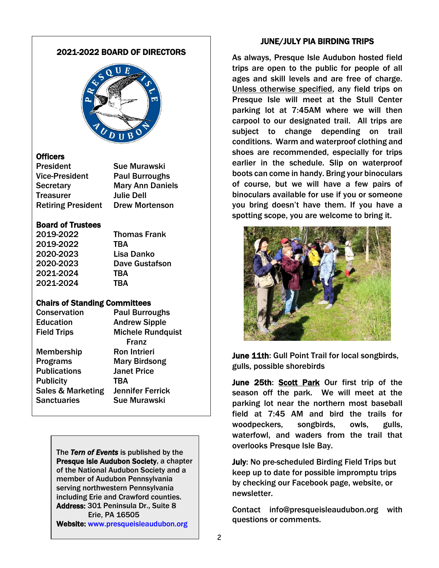# 2021-2022 BOARD OF DIRECTORS



# **Officers**

President Sue Murawski Vice-President Paul Burroughs Secretary **Mary Ann Daniels** Treasurer Julie Dell Retiring President Drew Mortenson

### Board of Trustees

2019-2022 Thomas Frank 2019-2022 TBA 2020-2023 Lisa Danko 2021-2024 TBA 2021-2024 TBA

2020-2023 Dave Gustafson

# Chairs of Standing Committees

Conservation Paul Burroughs Education Andrew Sipple Field Trips Michele Rundquist Franz Membership Ron Intrieri Programs Mary Birdsong Publications Janet Price Publicity TBA Sales & Marketing Jennifer Ferrick Sanctuaries Sue Murawski

> Address. 301 Fermisula<br>Erie, PA 16505 Website: www.presqueisleaudubon.org The *Tern of Events* is published by the Presque Isle Audubon Society, a chapter of the National Audubon Society and a member of Audubon Pennsylvania serving northwestern Pennsylvania including Erie and Crawford counties. Address: 301 Peninsula Dr., Suite 8

### JUNE/JULY PIA BIRDING TRIPS

As always, Presque Isle Audubon hosted field trips are open to the public for people of all ages and skill levels and are free of charge. Unless otherwise specified, any field trips on Presque Isle will meet at the Stull Center parking lot at 7:45AM where we will then carpool to our designated trail. All trips are subject to change depending on trail conditions. Warm and waterproof clothing and shoes are recommended, especially for trips earlier in the schedule. Slip on waterproof boots can come in handy. Bring your binoculars of course, but we will have a few pairs of binoculars available for use if you or someone you bring doesn't have them. If you have a spotting scope, you are welcome to bring it.



June 11th: Gull Point Trail for local songbirds, gulls, possible shorebirds

June 25th: Scott Park Our first trip of the season off the park. We will meet at the parking lot near the northern most baseball field at 7:45 AM and bird the trails for woodpeckers, songbirds, owls, gulls, waterfowl, and waders from the trail that overlooks Presque Isle Bay.

July: No pre-scheduled Birding Field Trips but keep up to date for possible impromptu trips by checking our Facebook page, website, or newsletter.

Contact info@presqueisleaudubon.org with questions or comments.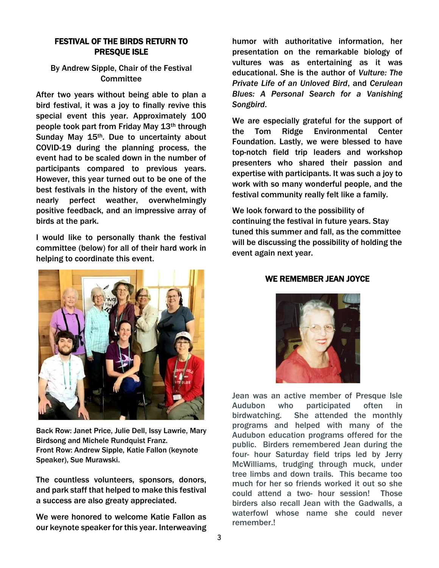# FESTIVAL OF THE BIRDS RETURN TO PRESQUE ISLE

# By Andrew Sipple, Chair of the Festival **Committee**

After two years without being able to plan a bird festival, it was a joy to finally revive this special event this year. Approximately 100 people took part from Friday May 13th through Sunday May 15<sup>th</sup>. Due to uncertainty about COVID-19 during the planning process, the event had to be scaled down in the number of participants compared to previous years. However, this year turned out to be one of the best festivals in the history of the event, with nearly perfect weather, overwhelmingly positive feedback, and an impressive array of birds at the park.

I would like to personally thank the festival committee (below) for all of their hard work in helping to coordinate this event.



Back Row: Janet Price, Julie Dell, Issy Lawrie, Mary Birdsong and Michele Rundquist Franz. Front Row: Andrew Sipple, Katie Fallon (keynote Speaker), Sue Murawski.

The countless volunteers, sponsors, donors, and park staff that helped to make this festival a success are also greaty appreciated.

We were honored to welcome Katie Fallon as our keynote speaker for this year. Interweaving humor with authoritative information, her presentation on the remarkable biology of vultures was as entertaining as it was educational. She is the author of *Vulture: The Private Life of an Unloved Bird*, and *Cerulean Blues: A Personal Search for a Vanishing Songbird*.

We are especially grateful for the support of the Tom Ridge Environmental Center Foundation. Lastly, we were blessed to have top-notch field trip leaders and workshop presenters who shared their passion and expertise with participants. It was such a joy to work with so many wonderful people, and the festival community really felt like a family.

We look forward to the possibility of continuing the festival in future years. Stay tuned this summer and fall, as the committee will be discussing the possibility of holding the event again next year.

# WE REMEMBER JEAN JOYCE



Jean was an active member of Presque Isle Audubon who participated often in birdwatching. She attended the monthly programs and helped with many of the Audubon education programs offered for the public. Birders remembered Jean during the four- hour Saturday field trips led by Jerry McWilliams, trudging through muck, under tree limbs and down trails. This became too much for her so friends worked it out so she could attend a two- hour session! Those birders also recall Jean with the Gadwalls, a waterfowl whose name she could never remember.!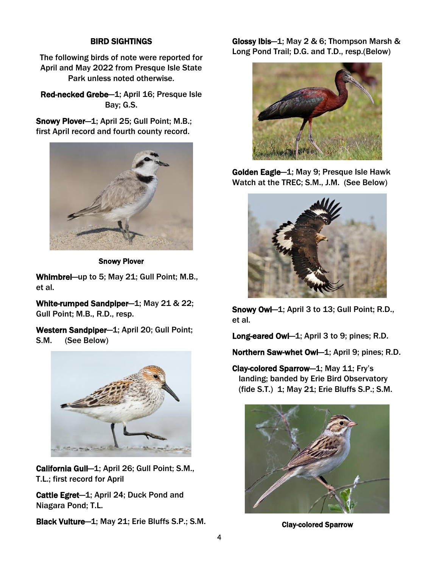# BIRD SIGHTINGS

The following birds of note were reported for April and May 2022 from Presque Isle State Park unless noted otherwise.

Red-necked Grebe—1; April 16; Presque Isle Bay; G.S.

Snowy Plover—1; April 25; Gull Point; M.B.; first April record and fourth county record.



Snowy Plover

Whimbrel—up to 5; May 21; Gull Point; M.B., et al.

White-rumped Sandpiper—1; May 21 & 22; Gull Point; M.B., R.D., resp.

Western Sandpiper-1; April 20; Gull Point; S.M. (See Below)



California Gull—1; April 26; Gull Point; S.M., T.L.; first record for April

Cattle Egret—1; April 24; Duck Pond and Niagara Pond; T.L.

Black Vulture—1; May 21; Erie Bluffs S.P.; S.M.

Glossy Ibis—1; May 2 & 6; Thompson Marsh & Long Pond Trail; D.G. and T.D., resp.(Below)



Golden Eagle—1; May 9; Presque Isle Hawk Watch at the TREC; S.M., J.M. (See Below)



Snowy Owl—1; April 3 to 13; Gull Point; R.D., et al.

Long-eared Owl-1; April 3 to 9; pines; R.D.

Northern Saw-whet Owl—1; April 9; pines; R.D.

Clay-colored Sparrow—1; May 11; Fry's landing; banded by Erie Bird Observatory (fide S.T.) 1; May 21; Erie Bluffs S.P.; S.M.



Clay-colored Sparrow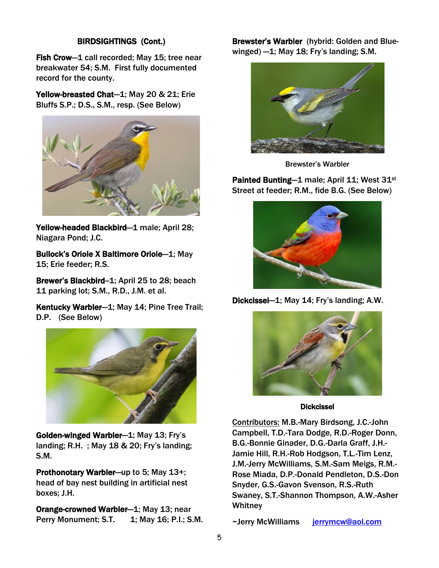# BIRDSIGHTINGS (Cont.)

Fish Crow—1 call recorded; May 15; tree near breakwater 54; S.M. First fully documented record for the county.

Yellow-breasted Chat—1; May 20 & 21; Erie Bluffs S.P.; D.S., S.M., resp. (See Below)



Yellow-headed Blackbird—1 male; April 28; Niagara Pond; J.C.

Bullock's Oriole X Baltimore Oriole—1; May 15; Erie feeder; R.S.

Brewer's Blackbird-1; April 25 to 28; beach 11 parking lot; S.M., R.D., J.M. et al.

Kentucky Warbler—1; May 14; Pine Tree Trail; D.P. (See Below)



Golden-winged Warbler—1; May 13; Fry's landing; R.H. ; May 18 & 20; Fry's landing; S.M.

Prothonotary Warbler—up to 5; May 13+; head of bay nest building in artificial nest boxes; J.H.

Orange-crowned Warbler—1; May 13; near Perry Monument; S.T. 1; May 16; P.I.; S.M. Brewster's Warbler (hybrid: Golden and Bluewinged)  $-1$ ; May 18; Fry's landing; S.M.



Brewster's Warbler

Painted Bunting—1 male; April 11; West 31<sup>st</sup> Street at feeder; R.M., fide B.G. (See Below)



Dickcissel—1; May 14; Fry's landing; A.W.



Dickcissel

Contributors: M.B.-Mary Birdsong, J.C.-John Campbell, T.D.-Tara Dodge, R.D.-Roger Donn, B.G.-Bonnie Ginader, D.G.-Darla Graff, J.H.- Jamie Hill, R.H.-Rob Hodgson, T.L.-Tim Lenz, J.M.-Jerry McWilliams, S.M.-Sam Meigs, R.M.- Rose Miada, D.P.-Donald Pendleton, D.S.-Don Snyder, G.S.-Gavon Svenson, R.S.-Ruth Swaney, S.T.-Shannon Thompson, A.W.-Asher **Whitney** 

~Jerry McWilliams ierrymcw@aol.com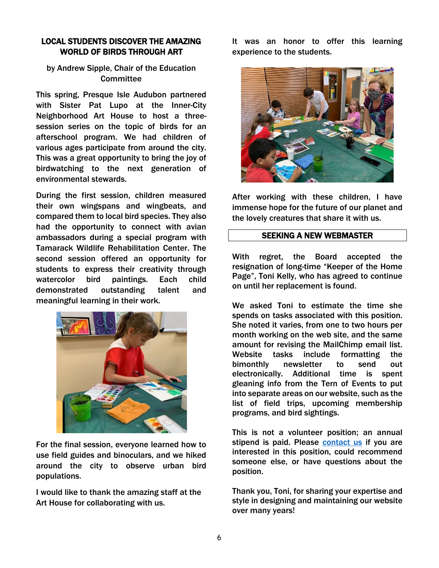# LOCAL STUDENTS DISCOVER THE AMAZING WORLD OF BIRDS THROUGH ART

# by Andrew Sipple, Chair of the Education **Committee**

This spring, Presque Isle Audubon partnered with Sister Pat Lupo at the Inner-City Neighborhood Art House to host a threesession series on the topic of birds for an afterschool program. We had children of various ages participate from around the city. This was a great opportunity to bring the joy of birdwatching to the next generation of environmental stewards.

During the first session, children measured their own wingspans and wingbeats, and compared them to local bird species. They also had the opportunity to connect with avian ambassadors during a special program with Tamarack Wildlife Rehabilitation Center. The second session offered an opportunity for students to express their creativity through watercolor bird paintings. Each child demonstrated outstanding talent and meaningful learning in their work.



For the final session, everyone learned how to use field guides and binoculars, and we hiked around the city to observe urban bird populations.

I would like to thank the amazing staff at the Art House for collaborating with us.

It was an honor to offer this learning experience to the students.



After working with these children, I have immense hope for the future of our planet and the lovely creatures that share it with us.

### SEEKING A NEW WEBMASTER

With regret, the Board accepted the resignation of long-time "Keeper of the Home Page", Toni Kelly, who has agreed to continue on until her replacement is found.

We asked Toni to estimate the time she spends on tasks associated with this position. She noted it varies, from one to two hours per month working on the web site, and the same amount for revising the MailChimp email list. Website tasks include formatting the bimonthly newsletter to send out electronically. Additional time is spent gleaning info from the Tern of Events to put into separate areas on our website, such as the list of field trips, upcoming membership programs, and bird sightings.

This is not a volunteer position; an annual stipend is paid. Please contact us if you are interested in this position, could recommend someone else, or have questions about the position.

Thank you, Toni, for sharing your expertise and style in designing and maintaining our website over many years!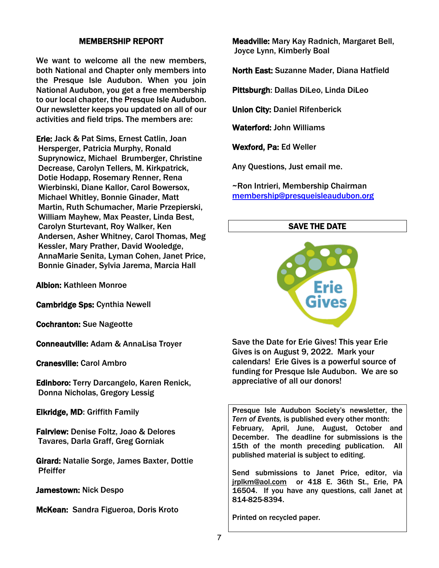# MEMBERSHIP REPORT

We want to welcome all the new members. both National and Chapter only members into the Presque Isle Audubon. When you join National Audubon, you get a free membership to our local chapter, the Presque Isle Audubon. Our newsletter keeps you updated on all of our activities and field trips. The members are:

Erie: Jack & Pat Sims, Ernest Catlin, Joan Hersperger, Patricia Murphy, Ronald Suprynowicz, Michael Brumberger, Christine Decrease, Carolyn Tellers, M. Kirkpatrick, Dotie Hodapp, Rosemary Renner, Rena Wierbinski, Diane Kallor, Carol Bowersox, Michael Whitley, Bonnie Ginader, Matt Martin, Ruth Schumacher, Marie Przepierski, William Mayhew, Max Peaster, Linda Best, Carolyn Sturtevant, Roy Walker, Ken Andersen, Asher Whitney, Carol Thomas, Meg Kessler, Mary Prather, David Wooledge, AnnaMarie Senita, Lyman Cohen, Janet Price, Bonnie Ginader, Sylvia Jarema, Marcia Hall

Albion: Kathleen Monroe

Cambridge Sps: Cynthia Newell

Cochranton: Sue Nageotte

Conneautville: Adam & AnnaLisa Troyer

Cranesville: Carol Ambro

Edinboro: Terry Darcangelo, Karen Renick, Donna Nicholas, Gregory Lessig

Elkridge, MD: Griffith Family

Fairview: Denise Foltz, Joao & Delores Tavares, Darla Graff, Greg Gorniak

Girard: Natalie Sorge, James Baxter, Dottie **Pfeiffer** 

Jamestown: Nick Despo

McKean: Sandra Figueroa, Doris Kroto

Meadville: Mary Kay Radnich, Margaret Bell, Joyce Lynn, Kimberly Boal

North East: Suzanne Mader, Diana Hatfield

Pittsburgh: Dallas DiLeo, Linda DiLeo

Union City: Daniel Rifenberick

Waterford: John Williams

Wexford, Pa: Ed Weller

Any Questions, Just email me.

~Ron Intrieri, Membership Chairman [membership@presqueisleaudubon.org](mailto:membership@presqueisleaudubon.org)

### SAVE THE DATE



Save the Date for Erie Gives! This year Erie Gives is on August 9, 2022. Mark your calendars! Erie Gives is a powerful source of funding for Presque Isle Audubon. We are so appreciative of all our donors!

Presque Isle Audubon Society's newsletter, the *Tern of Events,* is published every other month: February, April, June, August, October and December. The deadline for submissions is the 15th of the month preceding publication. All published material is subject to editing.

Send submissions to Janet Price, editor, via jrplkm@aol.com or 418 E. 36th St., Erie, PA 16504. If you have any questions, call Janet at 814-825-8394.

Printed on recycled paper.